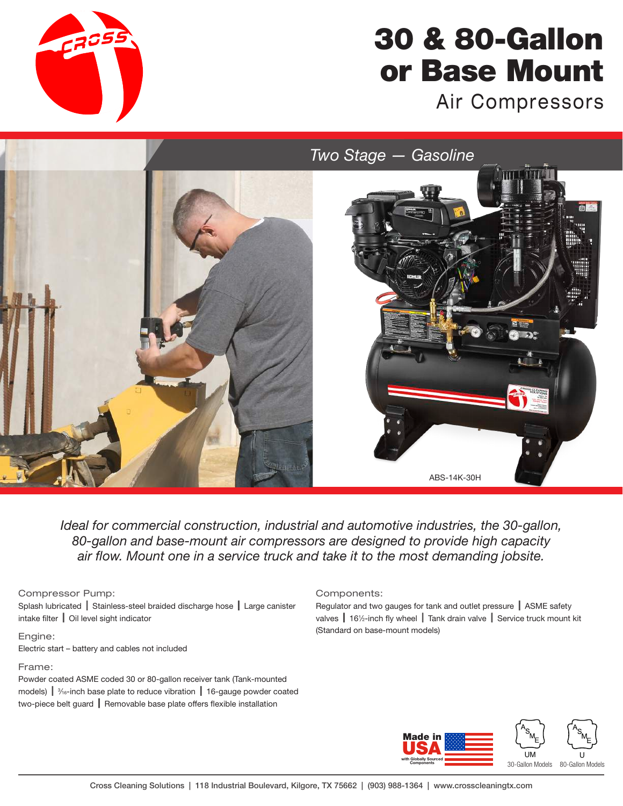

# 30 & 80-Gallon or Base Mount

Air Compressors

*Two Stage — Gasoline*



*Ideal for commercial construction, industrial and automotive industries, the 30-gallon, 80-gallon and base-mount air compressors are designed to provide high capacity air flow. Mount one in a service truck and take it to the most demanding jobsite.* 

### Compressor Pump:

Splash lubricated | Stainless-steel braided discharge hose | Large canister intake filter | Oil level sight indicator

#### Engine:

Electric start – battery and cables not included

#### Frame:

Powder coated ASME coded 30 or 80-gallon receiver tank (Tank-mounted models)  $\parallel$   $\frac{3}{16}$ -inch base plate to reduce vibration  $\parallel$  16-gauge powder coated two-piece belt guard | Removable base plate offers flexible installation

#### Components:

Regulator and two gauges for tank and outlet pressure | ASME safety valves | 16½-inch fly wheel | Tank drain valve | Service truck mount kit (Standard on base-mount models)